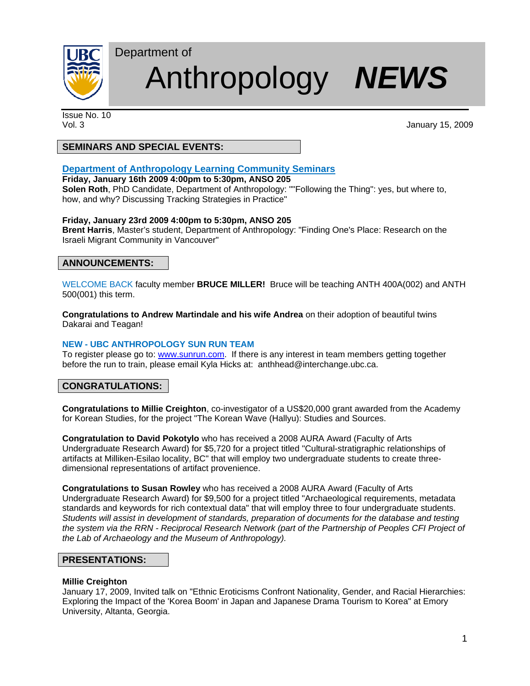

# Department of Anthropology *NEWS*

Issue No. 10

Vol. 3 January 15, 2009

# **SEMINARS AND SPECIAL EVENTS:**

# **Department of Anthropology Learning Community Seminars**

**Friday, January 16th 2009 4:00pm to 5:30pm, ANSO 205**

**Solen Roth**, PhD Candidate, Department of Anthropology: ""Following the Thing": yes, but where to, how, and why? Discussing Tracking Strategies in Practice"

### **Friday, January 23rd 2009 4:00pm to 5:30pm, ANSO 205**

**Brent Harris**, Master's student, Department of Anthropology: "Finding One's Place: Research on the Israeli Migrant Community in Vancouver"

# **ANNOUNCEMENTS:**

WELCOME BACK faculty member **BRUCE MILLER!** Bruce will be teaching ANTH 400A(002) and ANTH 500(001) this term.

**Congratulations to Andrew Martindale and his wife Andrea** on their adoption of beautiful twins Dakarai and Teagan!

#### **NEW - UBC ANTHROPOLOGY SUN RUN TEAM**

To register please go to: www.sunrun.com. If there is any interest in team members getting together before the run to train, please email Kyla Hicks at: anthhead@interchange.ubc.ca.

## **CONGRATULATIONS:**

**Congratulations to Millie Creighton**, co-investigator of a US\$20,000 grant awarded from the Academy for Korean Studies, for the project "The Korean Wave (Hallyu): Studies and Sources.

**Congratulation to David Pokotylo** who has received a 2008 AURA Award (Faculty of Arts Undergraduate Research Award) for \$5,720 for a project titled "Cultural-stratigraphic relationships of artifacts at Milliken-Esilao locality, BC" that will employ two undergraduate students to create threedimensional representations of artifact provenience.

**Congratulations to Susan Rowley** who has received a 2008 AURA Award (Faculty of Arts Undergraduate Research Award) for \$9,500 for a project titled "Archaeological requirements, metadata standards and keywords for rich contextual data" that will employ three to four undergraduate students. *Students will assist in development of standards, preparation of documents for the database and testing the system via the RRN - Reciprocal Research Network (part of the Partnership of Peoples CFI Project of the Lab of Archaeology and the Museum of Anthropology).* 

## **PRESENTATIONS:**

#### **Millie Creighton**

January 17, 2009, Invited talk on "Ethnic Eroticisms Confront Nationality, Gender, and Racial Hierarchies: Exploring the Impact of the 'Korea Boom' in Japan and Japanese Drama Tourism to Korea" at Emory University, Altanta, Georgia.